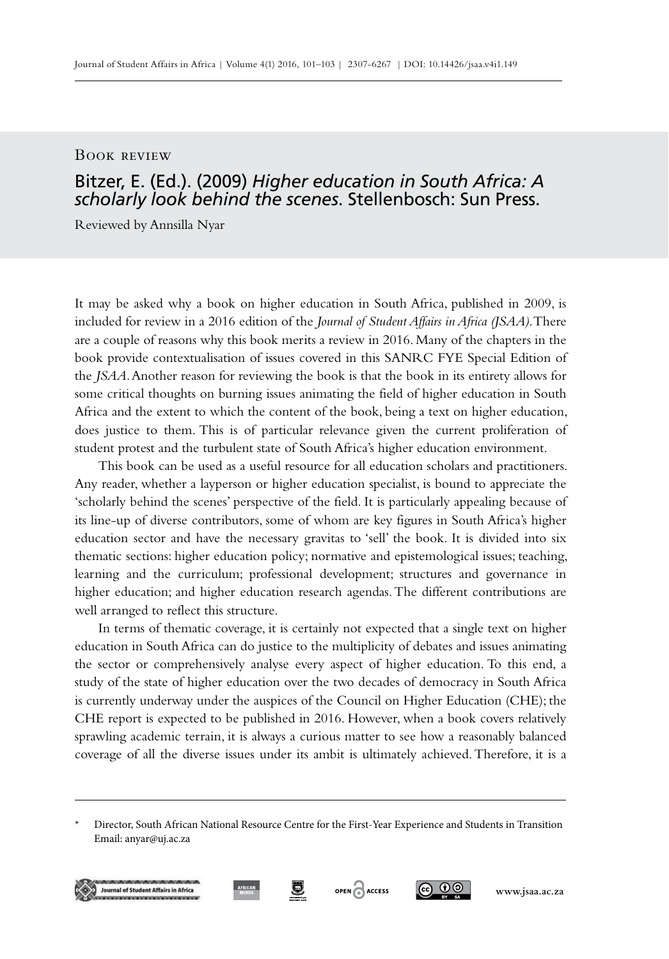## Book review

## Bitzer, E. (Ed.). (2009) *Higher education in South Africa: A scholarly look behind the scenes*. Stellenbosch: Sun Press.

Reviewed by Annsilla Nyar

It may be asked why a book on higher education in South Africa, published in 2009, is included for review in a 2016 edition of the *Journal of Student Affairs in Africa (JSAA)*. There are a couple of reasons why this book merits a review in 2016. Many of the chapters in the book provide contextualisation of issues covered in this SANRC FYE Special Edition of the *JSAA*. Another reason for reviewing the book is that the book in its entirety allows for some critical thoughts on burning issues animating the field of higher education in South Africa and the extent to which the content of the book, being a text on higher education, does justice to them. This is of particular relevance given the current proliferation of student protest and the turbulent state of South Africa's higher education environment.

This book can be used as a useful resource for all education scholars and practitioners. Any reader, whether a layperson or higher education specialist, is bound to appreciate the 'scholarly behind the scenes' perspective of the field. It is particularly appealing because of its line-up of diverse contributors, some of whom are key figures in South Africa's higher education sector and have the necessary gravitas to 'sell' the book. It is divided into six thematic sections: higher education policy; normative and epistemological issues; teaching, learning and the curriculum; professional development; structures and governance in higher education; and higher education research agendas. The different contributions are well arranged to reflect this structure.

In terms of thematic coverage, it is certainly not expected that a single text on higher education in South Africa can do justice to the multiplicity of debates and issues animating the sector or comprehensively analyse every aspect of higher education. To this end, a study of the state of higher education over the two decades of democracy in South Africa is currently underway under the auspices of the Council on Higher Education (CHE); the CHE report is expected to be published in 2016. However, when a book covers relatively sprawling academic terrain, it is always a curious matter to see how a reasonably balanced coverage of all the diverse issues under its ambit is ultimately achieved. Therefore, it is a

<sup>\*</sup> Director, South African National Resource Centre for the First-Year Experience and Students in Transition Email: anyar@uj.ac.za







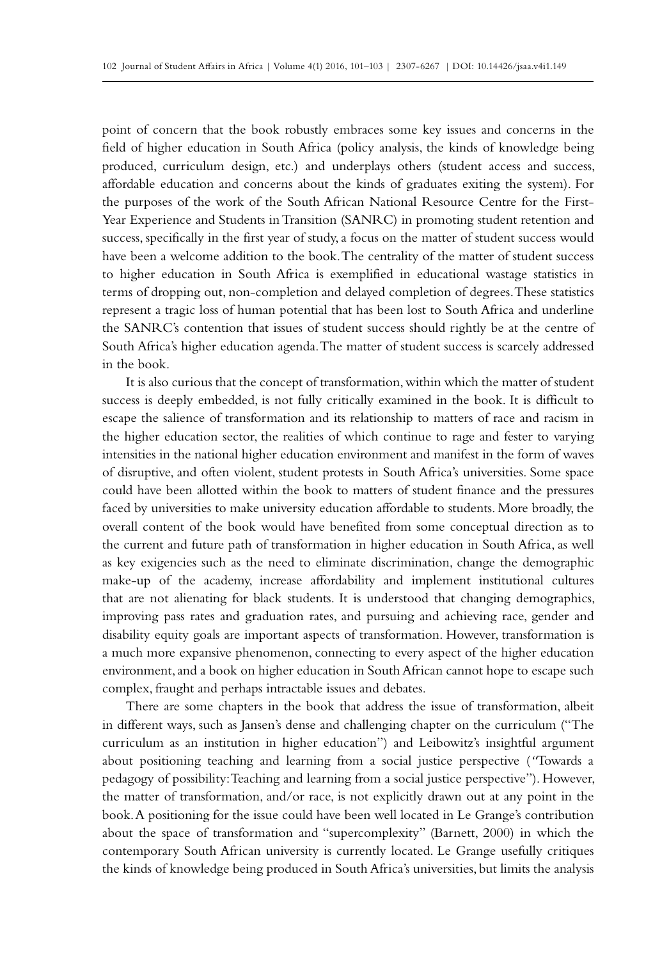point of concern that the book robustly embraces some key issues and concerns in the field of higher education in South Africa (policy analysis, the kinds of knowledge being produced, curriculum design, etc.) and underplays others (student access and success, affordable education and concerns about the kinds of graduates exiting the system). For the purposes of the work of the South African National Resource Centre for the First-Year Experience and Students in Transition (SANRC) in promoting student retention and success, specifically in the first year of study, a focus on the matter of student success would have been a welcome addition to the book. The centrality of the matter of student success to higher education in South Africa is exemplified in educational wastage statistics in terms of dropping out, non-completion and delayed completion of degrees. These statistics represent a tragic loss of human potential that has been lost to South Africa and underline the SANRC's contention that issues of student success should rightly be at the centre of South Africa's higher education agenda. The matter of student success is scarcely addressed in the book.

It is also curious that the concept of transformation, within which the matter of student success is deeply embedded, is not fully critically examined in the book. It is difficult to escape the salience of transformation and its relationship to matters of race and racism in the higher education sector, the realities of which continue to rage and fester to varying intensities in the national higher education environment and manifest in the form of waves of disruptive, and often violent, student protests in South Africa's universities. Some space could have been allotted within the book to matters of student finance and the pressures faced by universities to make university education affordable to students. More broadly, the overall content of the book would have benefited from some conceptual direction as to the current and future path of transformation in higher education in South Africa, as well as key exigencies such as the need to eliminate discrimination, change the demographic make-up of the academy, increase affordability and implement institutional cultures that are not alienating for black students. It is understood that changing demographics, improving pass rates and graduation rates, and pursuing and achieving race, gender and disability equity goals are important aspects of transformation. However, transformation is a much more expansive phenomenon, connecting to every aspect of the higher education environment, and a book on higher education in South African cannot hope to escape such complex, fraught and perhaps intractable issues and debates.

There are some chapters in the book that address the issue of transformation, albeit in different ways, such as Jansen's dense and challenging chapter on the curriculum ("The curriculum as an institution in higher education") and Leibowitz's insightful argument about positioning teaching and learning from a social justice perspective (*"*Towards a pedagogy of possibility: Teaching and learning from a social justice perspective"). However, the matter of transformation, and/or race, is not explicitly drawn out at any point in the book. A positioning for the issue could have been well located in Le Grange's contribution about the space of transformation and "supercomplexity" (Barnett, 2000) in which the contemporary South African university is currently located. Le Grange usefully critiques the kinds of knowledge being produced in South Africa's universities, but limits the analysis